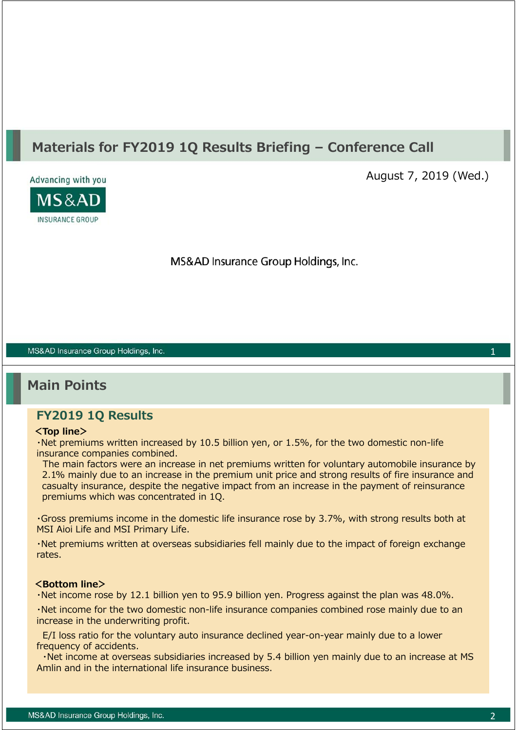# **Materials for FY2019 1Q Results Briefing – Conference Call**



August 7, 2019 (Wed.)

MS&AD Insurance Group Holdings, Inc.

#### MS&AD Insurance Group Holdings, Inc.

# **Main Points**

## **FY2019 1Q Results**

### **<Top line>**

・Net premiums written increased by 10.5 billion yen, or 1.5%, for the two domestic non-life insurance companies combined.

The main factors were an increase in net premiums written for voluntary automobile insurance by 2.1% mainly due to an increase in the premium unit price and strong results of fire insurance and casualty insurance, despite the negative impact from an increase in the payment of reinsurance premiums which was concentrated in 1Q.

・Gross premiums income in the domestic life insurance rose by 3.7%, with strong results both at MSI Aioi Life and MSI Primary Life.

・Net premiums written at overseas subsidiaries fell mainly due to the impact of foreign exchange rates.

#### **<Bottom line>**

・Net income rose by 12.1 billion yen to 95.9 billion yen. Progress against the plan was 48.0%.

・Net income for the two domestic non-life insurance companies combined rose mainly due to an increase in the underwriting profit.

E/I loss ratio for the voluntary auto insurance declined year-on-year mainly due to a lower frequency of accidents.

・Net income at overseas subsidiaries increased by 5.4 billion yen mainly due to an increase at MS Amlin and in the international life insurance business.

1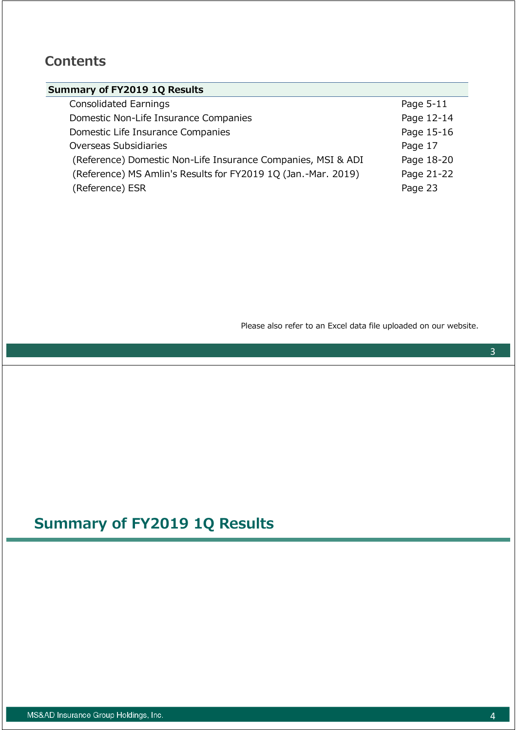# **Contents**

## **Summary of FY2019 1Q Results**

| <b>Consolidated Earnings</b>                                  | Page 5-11  |
|---------------------------------------------------------------|------------|
| Domestic Non-Life Insurance Companies                         | Page 12-14 |
| Domestic Life Insurance Companies                             | Page 15-16 |
| Overseas Subsidiaries                                         | Page 17    |
| (Reference) Domestic Non-Life Insurance Companies, MSI & ADI  | Page 18-20 |
| (Reference) MS Amlin's Results for FY2019 1Q (Jan.-Mar. 2019) | Page 21-22 |
| (Reference) ESR                                               | Page 23    |

Please also refer to an Excel data file uploaded on our website.

# **Summary of FY2019 1Q Results**

3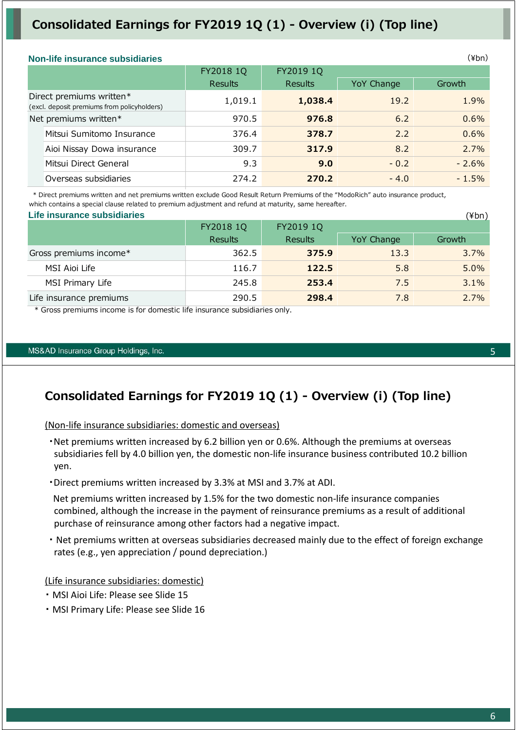# **Consolidated Earnings for FY2019 1Q (1) - Overview (i) (Top line)**

#### **Non-life insurance subsidiaries**

|                       |                                                                         | FY2018 1Q | FY2019 1Q      |            |         |
|-----------------------|-------------------------------------------------------------------------|-----------|----------------|------------|---------|
|                       |                                                                         | Results   | <b>Results</b> | YoY Change | Growth  |
|                       | Direct premiums written*<br>(excl. deposit premiums from policyholders) | 1,019.1   | 1,038.4        | 19.2       | 1.9%    |
| Net premiums written* |                                                                         | 970.5     | 976.8          | 6.2        | 0.6%    |
|                       | Mitsui Sumitomo Insurance                                               | 376.4     | 378.7          | 2.2        | 0.6%    |
|                       | Aioi Nissay Dowa insurance                                              | 309.7     | 317.9          | 8.2        | 2.7%    |
|                       | Mitsui Direct General                                                   | 9.3       | 9.0            | $-0.2$     | $-2.6%$ |
|                       | Overseas subsidiaries                                                   | 274.2     | 270.2          | $-4.0$     | $-1.5%$ |
|                       |                                                                         |           |                |            |         |

 \* Direct premiums written and net premiums written exclude Good Result Return Premiums of the "ModoRich" auto insurance product, which contains a special clause related to premium adjustment and refund at maturity, same hereafter.

| Life insurance subsidiaries |                |           |            | (¥bn)   |
|-----------------------------|----------------|-----------|------------|---------|
|                             | FY2018 1Q      | FY2019 1Q |            |         |
|                             | <b>Results</b> | Results   | YoY Change | Growth  |
| Gross premiums income*      | 362.5          | 375.9     | 13.3       | $3.7\%$ |
| MSI Aioi Life               | 116.7          | 122.5     | 5.8        | $5.0\%$ |
| MSI Primary Life            | 245.8          | 253.4     | 7.5        | 3.1%    |
| Life insurance premiums     | 290.5          | 298.4     | 7.8        | $2.7\%$ |

\* Gross premiums income is for domestic life insurance subsidiaries only.

#### MS&AD Insurance Group Holdings, Inc.

## **Consolidated Earnings for FY2019 1Q (1) - Overview (i) (Top line)**

(Non‐life insurance subsidiaries: domestic and overseas)

・Net premiums written increased by 6.2 billion yen or 0.6%. Although the premiums at overseas subsidiaries fell by 4.0 billion yen, the domestic non-life insurance business contributed 10.2 billion yen.

・Direct premiums written increased by 3.3% at MSI and 3.7% at ADI.

Net premiums written increased by 1.5% for the two domestic non-life insurance companies combined, although the increase in the payment of reinsurance premiums as a result of additional purchase of reinsurance among other factors had a negative impact.

・ Net premiums written at overseas subsidiaries decreased mainly due to the effect of foreign exchange rates (e.g., yen appreciation / pound depreciation.)

(Life insurance subsidiaries: domestic)

- ・ MSI Aioi Life: Please see Slide 15
- ・ MSI Primary Life: Please see Slide 16

5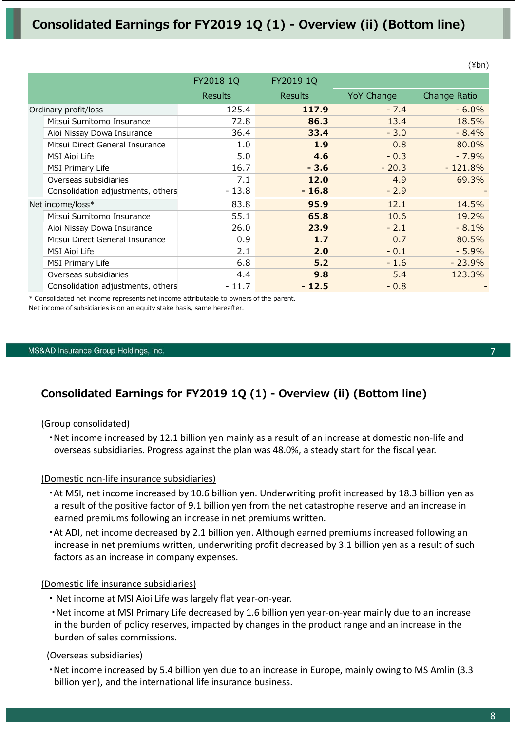# **Consolidated Earnings for FY2019 1Q (1) - Overview (ii) (Bottom line)**

|                                   | FY2018 1Q      | FY2019 1Q      |            |              |
|-----------------------------------|----------------|----------------|------------|--------------|
|                                   | <b>Results</b> | <b>Results</b> | YoY Change | Change Ratio |
| Ordinary profit/loss              | 125.4          | 117.9          | $-7.4$     | $-6.0%$      |
| Mitsui Sumitomo Insurance         | 72.8           | 86.3           | 13.4       | 18.5%        |
| Aioi Nissay Dowa Insurance        | 36.4           | 33.4           | $-3.0$     | $-8.4%$      |
| Mitsui Direct General Insurance   | 1.0            | 1.9            | 0.8        | 80.0%        |
| MSI Aioi Life                     | 5.0            | 4.6            | $-0.3$     | $-7.9%$      |
| <b>MSI Primary Life</b>           | 16.7           | $-3.6$         | $-20.3$    | $-121.8%$    |
| Overseas subsidiaries             | 7.1            | 12.0           | 4.9        | 69.3%        |
| Consolidation adjustments, others | $-13.8$        | $-16.8$        | $-2.9$     |              |
| Net income/loss*                  | 83.8           | 95.9           | 12.1       | 14.5%        |
| Mitsui Sumitomo Insurance         | 55.1           | 65.8           | 10.6       | 19.2%        |
| Aioi Nissay Dowa Insurance        | 26.0           | 23.9           | $-2.1$     | $-8.1%$      |
| Mitsui Direct General Insurance   | 0.9            | 1.7            | 0.7        | 80.5%        |
| <b>MSI Aioi Life</b>              | 2.1            | 2.0            | $-0.1$     | $-5.9%$      |
| <b>MSI Primary Life</b>           | 6.8            | 5.2            | $-1.6$     | $-23.9%$     |
| Overseas subsidiaries             | 4.4            | 9.8            | 5.4        | 123.3%       |
| Consolidation adjustments, others | - 11.7         | $-12.5$        | $-0.8$     |              |

\* Consolidated net income represents net income attributable to owners of the parent. Net income of subsidiaries is on an equity stake basis, same hereafter.

#### MS&AD Insurance Group Holdings, Inc.

## **Consolidated Earnings for FY2019 1Q (1) - Overview (ii) (Bottom line)**

### (Group consolidated)

・Net income increased by 12.1 billion yen mainly as a result of an increase at domestic non‐life and overseas subsidiaries. Progress against the plan was 48.0%, a steady start for the fiscal year.

### (Domestic non‐life insurance subsidiaries)

- ・At MSI, net income increased by 10.6 billion yen. Underwriting profit increased by 18.3 billion yen as a result of the positive factor of 9.1 billion yen from the net catastrophe reserve and an increase in earned premiums following an increase in net premiums written.
- ・At ADI, net income decreased by 2.1 billion yen. Although earned premiums increased following an increase in net premiums written, underwriting profit decreased by 3.1 billion yen as a result of such factors as an increase in company expenses.

### (Domestic life insurance subsidiaries)

- ・ Net income at MSI Aioi Life was largely flat year‐on‐year.
- ・Net income at MSI Primary Life decreased by 1.6 billion yen year‐on‐year mainly due to an increase in the burden of policy reserves, impacted by changes in the product range and an increase in the burden of sales commissions.

### (Overseas subsidiaries)

・Net income increased by 5.4 billion yen due to an increase in Europe, mainly owing to MS Amlin (3.3 billion yen), and the international life insurance business.

7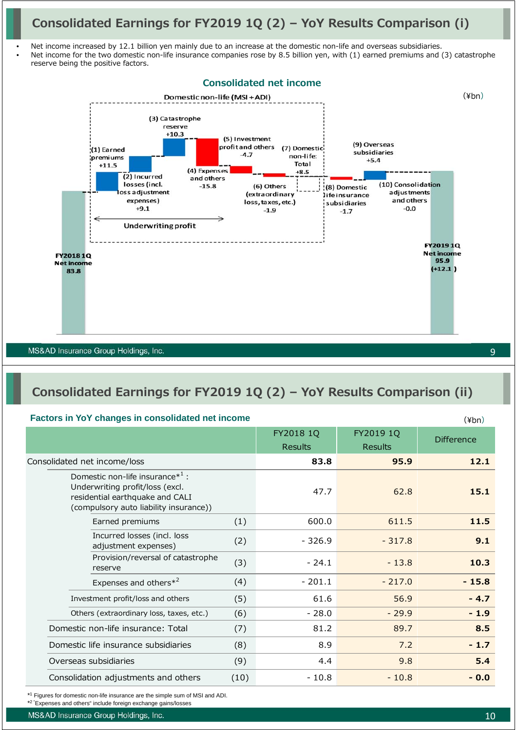# **Consolidated Earnings for FY2019 1Q (2) – YoY Results Comparison (i)**

- Net income increased by 12.1 billion yen mainly due to an increase at the domestic non-life and overseas subsidiaries. Net income for the two domestic non-life insurance companies rose by 8.5 billion yen, with (1) earned premiums and (3) catastrophe
- reserve being the positive factors.



# **Consolidated Earnings for FY2019 1Q (2) – YoY Results Comparison (ii)**

### **Factors in YoY changes in consolidated net income**

|                                                                                                                                                     |      |                |                | $(1 + 1)$         |
|-----------------------------------------------------------------------------------------------------------------------------------------------------|------|----------------|----------------|-------------------|
|                                                                                                                                                     |      | FY2018 1Q      | FY2019 1Q      | <b>Difference</b> |
|                                                                                                                                                     |      | <b>Results</b> | <b>Results</b> |                   |
| Consolidated net income/loss                                                                                                                        |      | 83.8           | 95.9           | 12.1              |
| Domestic non-life insurance $*^1$ :<br>Underwriting profit/loss (excl.<br>residential earthquake and CALI<br>(compulsory auto liability insurance)) |      | 47.7           | 62.8           | 15.1              |
| Earned premiums                                                                                                                                     | (1)  | 600.0          | 611.5          | 11.5              |
| Incurred losses (incl. loss<br>adjustment expenses)                                                                                                 | (2)  | $-326.9$       | $-317.8$       | 9.1               |
| Provision/reversal of catastrophe<br>reserve                                                                                                        | (3)  | $-24.1$        | $-13.8$        | 10.3              |
| Expenses and others* <sup>2</sup>                                                                                                                   | (4)  | $-201.1$       | $-217.0$       | $-15.8$           |
| Investment profit/loss and others                                                                                                                   | (5)  | 61.6           | 56.9           | $-4.7$            |
| Others (extraordinary loss, taxes, etc.)                                                                                                            | (6)  | $-28.0$        | $-29.9$        | $-1.9$            |
| Domestic non-life insurance: Total                                                                                                                  | (7)  | 81.2           | 89.7           | 8.5               |
| Domestic life insurance subsidiaries                                                                                                                | (8)  | 8.9            | 7.2            | $-1.7$            |
| Overseas subsidiaries                                                                                                                               |      | 4.4            | 9.8            | 5.4               |
| Consolidation adjustments and others                                                                                                                | (10) | $-10.8$        | $-10.8$        | $-0.0$            |

\*1 Figures for domestic non-life insurance are the simple sum of MSI and ADI.

\*2 "Expenses and others" include foreign exchange gains/losses

 $(Yhn)$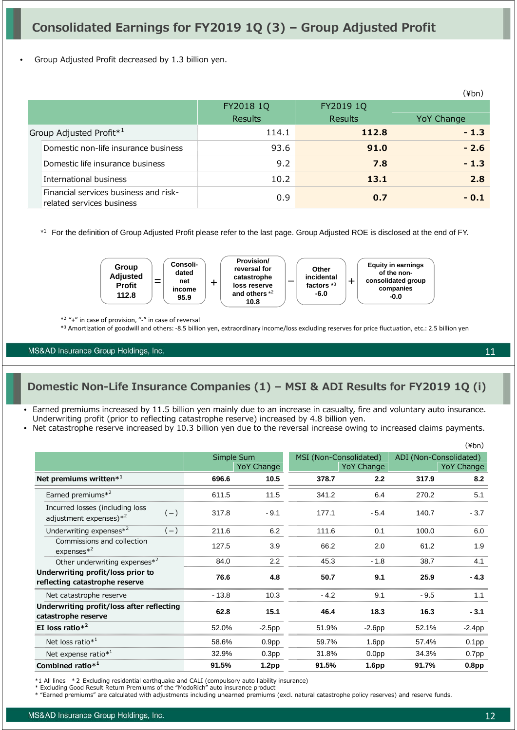• Group Adjusted Profit decreased by 1.3 billion yen.

|                                                                    |                |                | (¥bn)      |
|--------------------------------------------------------------------|----------------|----------------|------------|
|                                                                    | FY2018 1Q      | FY2019 1Q      |            |
|                                                                    | <b>Results</b> | <b>Results</b> | YoY Change |
| Group Adjusted Profit* <sup>1</sup>                                | 114.1          | 112.8          | $-1.3$     |
| Domestic non-life insurance business                               | 93.6           | 91.0           | $-2.6$     |
| Domestic life insurance business                                   | 9.2            | 7.8            | $-1.3$     |
| International business                                             | 10.2           | 13.1           | 2.8        |
| Financial services business and risk-<br>related services business | 0.9            | 0.7            | $-0.1$     |

\*1 For the definition of Group Adjusted Profit please refer to the last page. Group Adjusted ROE is disclosed at the end of FY.



\*2 "+" in case of provision, "‐" in case of reversal

\*3 Amortization of goodwill and others: ‐8.5 billion yen, extraordinary income/loss excluding reserves for price fluctuation, etc.: 2.5 billion yen

MS&AD Insurance Group Holdings, Inc.

## **Domestic Non-Life Insurance Companies (1) – MSI & ADI Results for FY2019 1Q (i)**

- Earned premiums increased by 11.5 billion yen mainly due to an increase in casualty, fire and voluntary auto insurance. Underwriting profit (prior to reflecting catastrophe reserve) increased by 4.8 billion yen.
- Net catastrophe reserve increased by 10.3 billion yen due to the reversal increase owing to increased claims payments.

|                                                                        |         |                                 |        |                                             |                                      | $(\frac{\gamma}{\pi})$ |  |
|------------------------------------------------------------------------|---------|---------------------------------|--------|---------------------------------------------|--------------------------------------|------------------------|--|
|                                                                        |         | Simple Sum<br><b>YoY Change</b> |        | MSI (Non-Consolidated)<br><b>YoY Change</b> | ADI (Non-Consolidated)<br>YoY Change |                        |  |
| Net premiums written $*^1$                                             | 696.6   | 10.5                            | 378.7  | 2.2                                         | 317.9                                | 8.2                    |  |
| Earned premiums <sup>*2</sup>                                          | 611.5   | 11.5                            | 341.2  | 6.4                                         | 270.2                                | 5.1                    |  |
| Incurred losses (including loss<br>$(-)$<br>adjustment expenses) $*^2$ | 317.8   | $-9.1$                          | 177.1  | $-5.4$                                      | 140.7                                | $-3.7$                 |  |
| Underwriting expenses*2<br>$(-)$                                       | 211.6   | 6.2                             | 111.6  | 0.1                                         | 100.0                                | 6.0                    |  |
| Commissions and collection<br>$express*2$                              | 127.5   | 3.9                             | 66.2   | 2.0                                         | 61.2                                 | 1.9                    |  |
| Other underwriting expenses $*^2$                                      | 84.0    | 2.2                             | 45.3   | $-1.8$                                      | 38.7                                 | 4.1                    |  |
| Underwriting profit/loss prior to<br>reflecting catastrophe reserve    | 76.6    | 4.8                             | 50.7   | 9.1                                         | 25.9                                 | $-4.3$                 |  |
| Net catastrophe reserve                                                | $-13.8$ | 10.3                            | $-4.2$ | 9.1                                         | $-9.5$                               | 1.1                    |  |
| Underwriting profit/loss after reflecting<br>catastrophe reserve       | 62.8    | 15.1                            | 46.4   | 18.3                                        | 16.3                                 | $-3.1$                 |  |
| EI loss ratio $*^2$                                                    | 52.0%   | $-2.5$ pp                       | 51.9%  | $-2.6pp$                                    | 52.1%                                | $-2.4$ pp              |  |
| Net loss ratio $*^1$                                                   | 58.6%   | 0.9 <sub>pp</sub>               | 59.7%  | 1.6 <sub>pp</sub>                           | 57.4%                                | 0.1 <sub>pp</sub>      |  |
| Net expense ratio $*^1$                                                | 32.9%   | 0.3 <sub>pp</sub>               | 31.8%  | 0.0 <sub>pp</sub>                           | 34.3%                                | 0.7 <sub>pp</sub>      |  |
| Combined ratio $*^1$                                                   | 91.5%   | 1.2 <sub>pp</sub>               | 91.5%  | 1.6 <sub>pp</sub>                           | 91.7%                                | 0.8 <sub>pp</sub>      |  |

\*1 All lines \*2 Excluding residential earthquake and CALI (compulsory auto liability insurance)

\* Excluding Good Result Return Premiums of the "ModoRich" auto insurance product

\* "Earned premiums" are calculated with adjustments including unearned premiums (excl. natural catastrophe policy reserves) and reserve funds.

11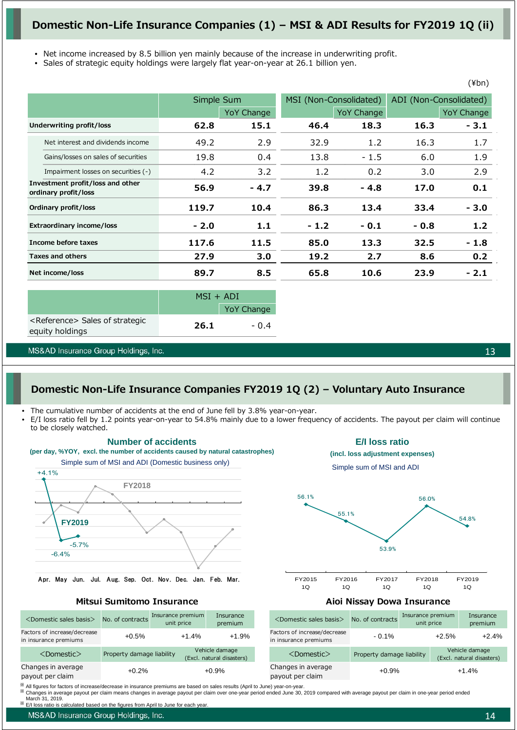## **Domestic Non-Life Insurance Companies (1) – MSI & ADI Results for FY2019 1Q (ii)**

- Net income increased by 8.5 billion yen mainly because of the increase in underwriting profit.
- Sales of strategic equity holdings were largely flat year-on-year at 26.1 billion yen.

|                                                          |                                     |        | Simple Sum        |        | MSI (Non-Consolidated) |        | ADI (Non-Consolidated) |
|----------------------------------------------------------|-------------------------------------|--------|-------------------|--------|------------------------|--------|------------------------|
|                                                          |                                     |        | <b>YoY Change</b> |        | <b>YoY Change</b>      |        | <b>YoY Change</b>      |
|                                                          | <b>Underwriting profit/loss</b>     | 62.8   | 15.1              | 46.4   | 18.3                   | 16.3   | $-3.1$                 |
|                                                          | Net interest and dividends income   | 49.2   | 2.9               | 32.9   | 1.2                    | 16.3   | 1.7                    |
|                                                          | Gains/losses on sales of securities | 19.8   | 0.4               | 13.8   | $-1.5$                 | 6.0    | 1.9                    |
|                                                          | Impairment losses on securities (-) | 4.2    | 3.2               | 1.2    | 0.2                    | 3.0    | 2.9                    |
| Investment profit/loss and other<br>ordinary profit/loss |                                     | 56.9   | $-4.7$            | 39.8   | - 4.8                  | 17.0   | 0.1                    |
|                                                          | Ordinary profit/loss                | 119.7  | 10.4              | 86.3   | 13.4                   | 33.4   | $-3.0$                 |
|                                                          | <b>Extraordinary income/loss</b>    | $-2.0$ | 1.1               | $-1.2$ | $-0.1$                 | $-0.8$ | 1.2                    |
|                                                          | Income before taxes                 | 117.6  | 11.5              | 85.0   | 13.3                   | 32.5   | $-1.8$                 |
|                                                          | <b>Taxes and others</b>             | 27.9   | 3.0               | 19.2   | 2.7                    | 8.6    | 0.2                    |
|                                                          | Net income/loss                     | 89.7   | 8.5               | 65.8   | 10.6                   | 23.9   | - 2.1                  |

|                                                                | $MSI + ADI$ |                   |  |
|----------------------------------------------------------------|-------------|-------------------|--|
|                                                                |             | <b>YoY Change</b> |  |
| <reference> Sales of strategic<br/>equity holdings</reference> | 26.1        | - 0.4             |  |
|                                                                |             |                   |  |

MS&AD Insurance Group Holdings, Inc.

13

(¥bn)

## **Domestic Non-Life Insurance Companies FY2019 1Q (2) – Voluntary Auto Insurance**

The cumulative number of accidents at the end of June fell by 3.8% year-on-year.

**Number of accidents** 

• E/I loss ratio fell by 1.2 points year-on-year to 54.8% mainly due to a lower frequency of accidents. The payout per claim will continue to be closely watched.



Apr. May Jun. Jul. Aug. Sep. Oct. Nov. Dec. Jan. Feb. Mar.







**Mitsui Sumitomo Insurance Mitsui Sumitomo Insurance Aioi Nissay Dowa Insurance** 

| <domestic basis="" sales=""></domestic>               | No. of contracts          | Insurance premium<br>unit price |                                             | Insurance<br>premium | <domestic basis="" sales=""></domestic>               | No. of contracts          | Insurance premium<br>unit price |         | Insurance<br>premium                        |
|-------------------------------------------------------|---------------------------|---------------------------------|---------------------------------------------|----------------------|-------------------------------------------------------|---------------------------|---------------------------------|---------|---------------------------------------------|
| Factors of increase/decrease<br>in insurance premiums | $+0.5%$                   | $+1.4%$                         |                                             | $+1.9%$              | Factors of increase/decrease<br>in insurance premiums | $-0.1\%$                  |                                 | $+2.5%$ | $+2.4%$                                     |
| $<$ Domestic $>$                                      | Property damage liability |                                 | Vehicle damage<br>(Excl. natural disasters) |                      | $<$ Domestic $>$                                      | Property damage liability |                                 |         | Vehicle damage<br>(Excl. natural disasters) |
| Changes in average<br>payout per claim                | $+0.2%$                   |                                 |                                             | $+0.9%$              | Changes in average<br>payout per claim                | $+0.9%$                   |                                 |         | $+1.4%$                                     |

All figures for factors of increase/decrease in insurance premiums are based on sales results (April to June) year-on-year.<br>Changes in average payout per claim means changes in average payout per claim over one-year period

E/I loss ratio is calculated based on the figures from April to June

MS&AD Insurance Group Holdings, Inc.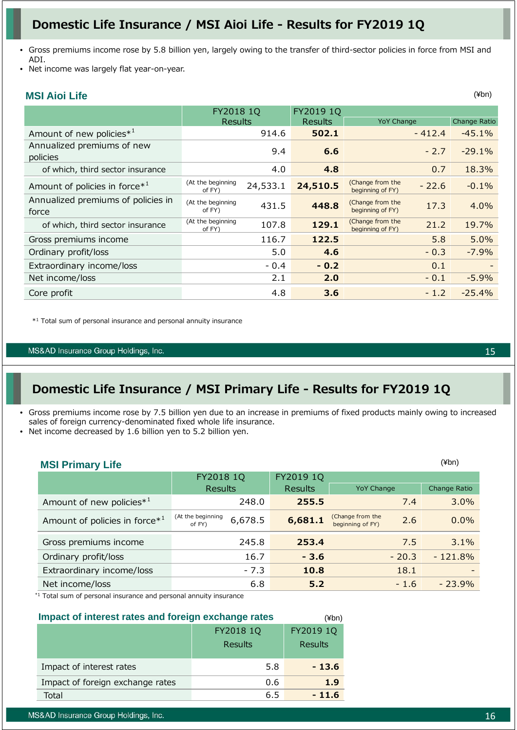# **Domestic Life Insurance / MSI Aioi Life - Results for FY2019 1Q**

- Gross premiums income rose by 5.8 billion yen, largely owing to the transfer of third-sector policies in force from MSI and ADI.
- Net income was largely flat year-on-year.

## **MSI Aioi Life**

|                                             | FY2018 1Q<br>Results        |          | FY2019 1Q<br>Results | <b>YoY Change</b>                    |          | <b>Change Ratio</b> |
|---------------------------------------------|-----------------------------|----------|----------------------|--------------------------------------|----------|---------------------|
| Amount of new policies <sup>*1</sup>        |                             | 914.6    | 502.1                |                                      | $-412.4$ | $-45.1%$            |
| Annualized premiums of new<br>policies      |                             | 9.4      | 6.6                  |                                      | $-2.7$   | $-29.1%$            |
| of which, third sector insurance            |                             | 4.0      | 4.8                  |                                      | 0.7      | 18.3%               |
| Amount of policies in force $*^1$           | (At the beginning<br>of FY) | 24,533.1 | 24,510.5             | (Change from the<br>beginning of FY) | $-22.6$  | $-0.1%$             |
| Annualized premiums of policies in<br>force | (At the beginning<br>of FY) | 431.5    | 448.8                | (Change from the<br>beginning of FY) | 17.3     | 4.0%                |
| of which, third sector insurance            | (At the beginning<br>of FY) | 107.8    | 129.1                | (Change from the<br>beginning of FY) | 21.2     | 19.7%               |
| Gross premiums income                       |                             | 116.7    | 122.5                |                                      | 5.8      | 5.0%                |
| Ordinary profit/loss                        |                             | 5.0      | 4.6                  |                                      | $-0.3$   | $-7.9%$             |
| Extraordinary income/loss                   |                             | $-0.4$   | $-0.2$               |                                      | 0.1      |                     |
| Net income/loss                             |                             | 2.1      | 2.0                  |                                      | $-0.1$   | $-5.9\%$            |
| Core profit                                 |                             | 4.8      | 3.6                  |                                      | $-1.2$   | $-25.4%$            |

\*1 Total sum of personal insurance and personal annuity insurance

#### MS&AD Insurance Group Holdings, Inc.

# **Domestic Life Insurance / MSI Primary Life - Results for FY2019 1Q**

- Gross premiums income rose by 7.5 billion yen due to an increase in premiums of fixed products mainly owing to increased sales of foreign currency-denominated fixed whole life insurance.
- Net income decreased by 1.6 billion yen to 5.2 billion yen.

| <b>MSI Primary Life</b>                   |                                        |                |                                             | $(\n  4bn)$  |
|-------------------------------------------|----------------------------------------|----------------|---------------------------------------------|--------------|
|                                           | FY2018 1Q                              | FY2019 1Q      |                                             |              |
|                                           | <b>Results</b>                         | <b>Results</b> | <b>YoY Change</b>                           | Change Ratio |
| Amount of new policies <sup>*1</sup>      | 248.0                                  | 255.5          | 7.4                                         | 3.0%         |
| Amount of policies in force* <sup>1</sup> | (At the beginning<br>6,678.5<br>of FY) | 6,681.1        | (Change from the<br>2.6<br>beginning of FY) | 0.0%         |
| Gross premiums income                     | 245.8                                  | 253.4          | 7.5                                         | 3.1%         |
| Ordinary profit/loss                      | 16.7                                   | $-3.6$         | $-20.3$                                     | $-121.8%$    |
| Extraordinary income/loss                 | $-7.3$                                 | 10.8           | 18.1                                        |              |
| Net income/loss                           | 6.8                                    | 5.2            | $-1.6$                                      | $-23.9%$     |

\*1 Total sum of personal insurance and personal annuity insurance

#### **Impact of interest rates and foreign exchange rates** (¥bn)

|                                  | FY2018 1Q      | FY2019 1Q      |
|----------------------------------|----------------|----------------|
|                                  | <b>Results</b> | <b>Results</b> |
| Impact of interest rates         | 5.8            | $-13.6$        |
| Impact of foreign exchange rates | 0.6            | 1.9            |
| Total                            | 6.5            | $-11.6$        |

15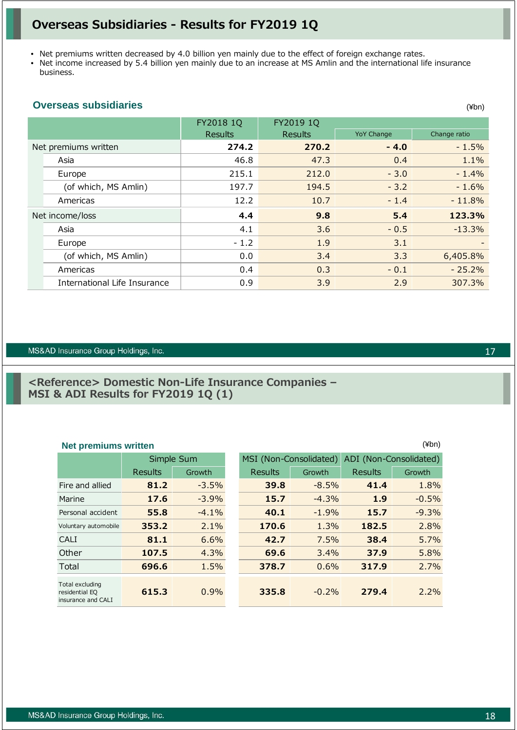## **Overseas Subsidiaries - Results for FY2019 1Q**

- Net premiums written decreased by 4.0 billion yen mainly due to the effect of foreign exchange rates.
- Net income increased by 5.4 billion yen mainly due to an increase at MS Amlin and the international life insurance business.

## **Overseas subsidiaries**

|                              | FY2018 1Q      | FY2019 1Q      |                   |              |
|------------------------------|----------------|----------------|-------------------|--------------|
|                              | <b>Results</b> | <b>Results</b> | <b>YoY Change</b> | Change ratio |
| Net premiums written         | 274.2          | 270.2          | $-4.0$            | $-1.5%$      |
| Asia                         | 46.8           | 47.3           | 0.4               | 1.1%         |
| Europe                       | 215.1          | 212.0          | $-3.0$            | $-1.4%$      |
| (of which, MS Amlin)         | 197.7          | 194.5          | $-3.2$            | $-1.6%$      |
| Americas                     | 12.2           | 10.7           | $-1.4$            | $-11.8%$     |
| Net income/loss              | 4.4            | 9.8            | 5.4               | 123.3%       |
| Asia                         | 4.1            | 3.6            | $-0.5$            | $-13.3%$     |
| Europe                       | $-1.2$         | 1.9            | 3.1               |              |
| (of which, MS Amlin)         | 0.0            | 3.4            | 3.3               | 6,405.8%     |
| Americas                     | 0.4            | 0.3            | $-0.1$            | $-25.2%$     |
| International Life Insurance | 0.9            | 3.9            | 2.9               | 307.3%       |

#### MS&AD Insurance Group Holdings, Inc.

## **<Reference> Domestic Non-Life Insurance Companies – MSI & ADI Results for FY2019 1Q (1)**

## **Net premiums written** (¥bn)

|                                                         | Simple Sum     |          |  | MSI (Non-Consolidated) |          | ADI (Non-Consolidated) |         |
|---------------------------------------------------------|----------------|----------|--|------------------------|----------|------------------------|---------|
|                                                         | <b>Results</b> | Growth   |  | <b>Results</b>         | Growth   | Results                | Growth  |
| Fire and allied                                         | 81.2           | $-3.5%$  |  | 39.8                   | $-8.5%$  | 41.4                   | 1.8%    |
| Marine                                                  | 17.6           | $-3.9\%$ |  | 15.7                   | $-4.3%$  | 1.9                    | $-0.5%$ |
| Personal accident                                       | 55.8           | $-4.1%$  |  | 40.1                   | $-1.9%$  | 15.7                   | $-9.3%$ |
| Voluntary automobile                                    | 353.2          | 2.1%     |  | 170.6                  | 1.3%     | 182.5                  | 2.8%    |
| CALI                                                    | 81.1           | 6.6%     |  | 42.7                   | 7.5%     | 38.4                   | 5.7%    |
| Other                                                   | 107.5          | 4.3%     |  | 69.6                   | 3.4%     | 37.9                   | 5.8%    |
| Total                                                   | 696.6          | 1.5%     |  | 378.7                  | 0.6%     | 317.9                  | 2.7%    |
| Total excluding<br>residential EQ<br>insurance and CALI | 615.3          | 0.9%     |  | 335.8                  | $-0.2\%$ | 279.4                  | 2.2%    |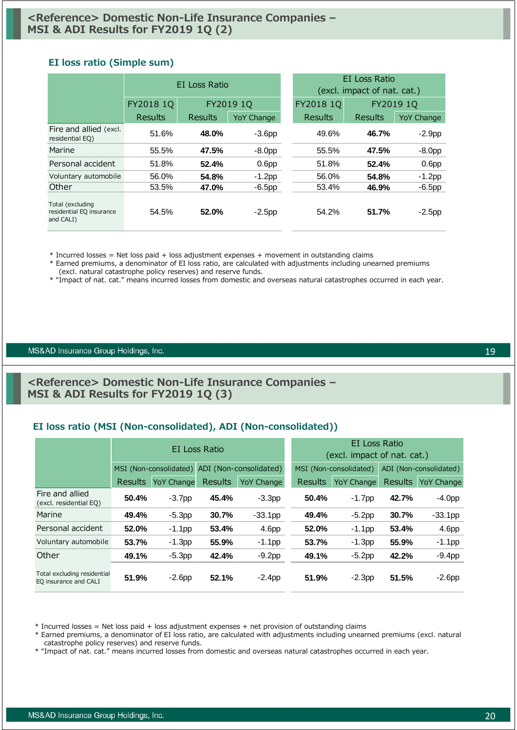### **EI loss ratio (Simple sum)**

|                                                           | <b>FI</b> Loss Ratio |           |                   |           | EI Loss Ratio<br>(excl. impact of nat. cat.) |           |                   |  |
|-----------------------------------------------------------|----------------------|-----------|-------------------|-----------|----------------------------------------------|-----------|-------------------|--|
|                                                           | FY2018 1Q            | FY2019 1Q |                   | FY2018 1Q |                                              | FY2019 1Q |                   |  |
|                                                           | Results              | Results   | <b>YoY Change</b> |           | Results                                      | Results   | <b>YoY Change</b> |  |
| Fire and allied (excl.<br>residential EQ)                 | 51.6%                | 48.0%     | $-3.6pp$          |           | 49.6%                                        | 46.7%     | $-2.9pp$          |  |
| Marine                                                    | 55.5%                | 47.5%     | $-8.0pp$          |           | 55.5%                                        | 47.5%     | $-8.0pp$          |  |
| Personal accident                                         | 51.8%                | 52.4%     | 0.6 <sub>pp</sub> |           | 51.8%                                        | 52.4%     | 0.6 <sub>pp</sub> |  |
| Voluntary automobile                                      | 56.0%                | 54.8%     | $-1.2$ pp         |           | 56.0%                                        | 54.8%     | $-1.2$ pp         |  |
| Other                                                     | 53.5%                | 47.0%     | $-6.5$ pp         |           | 53.4%                                        | 46.9%     | $-6.5pp$          |  |
| Total (excluding<br>residential EQ insurance<br>and CALI) | 54.5%                | 52.0%     | $-2.5$ pp         |           | 54.2%                                        | 51.7%     | $-2.5$ pp         |  |

\* Incurred losses = Net loss paid + loss adjustment expenses + movement in outstanding claims

\* Earned premiums, a denominator of EI loss ratio, are calculated with adjustments including unearned premiums (excl. natural catastrophe policy reserves) and reserve funds.

\* "Impact of nat. cat." means incurred losses from domestic and overseas natural catastrophes occurred in each year.

#### MS&AD Insurance Group Holdings, Inc.

## **<Reference> Domestic Non-Life Insurance Companies – MSI & ADI Results for FY2019 1Q (3)**

## **EI loss ratio (MSI (Non-consolidated), ADI (Non-consolidated))**

|                                                      |                |                                               | EI Loss Ratio |                        | EI Loss Ratio<br>(excl. impact of nat. cat.) |                        |                |                   |
|------------------------------------------------------|----------------|-----------------------------------------------|---------------|------------------------|----------------------------------------------|------------------------|----------------|-------------------|
|                                                      |                | MSI (Non-consolidated) ADI (Non-consolidated) |               | MSI (Non-consolidated) |                                              | ADI (Non-consolidated) |                |                   |
|                                                      | <b>Results</b> | <b>YoY Change</b>                             | Results       | <b>YoY Change</b>      | <b>Results</b>                               | <b>YoY Change</b>      | <b>Results</b> | <b>YoY Change</b> |
| Fire and allied<br>(excl. residential EQ)            | 50.4%          | $-3.7pp$                                      | 45.4%         | $-3.3pp$               | 50.4%                                        | $-1.7$ pp              | 42.7%          | $-4.0pp$          |
| Marine                                               | 49.4%          | $-5.3pp$                                      | 30.7%         | $-33.1$ pp             | 49.4%                                        | $-5.2$ pp              | 30.7%          | $-33.1$ pp        |
| Personal accident                                    | 52.0%          | $-1.1$ pp                                     | 53.4%         | 4.6pp                  | 52.0%                                        | $-1.1$ pp              | 53.4%          | 4.6pp             |
| Voluntary automobile                                 | 53.7%          | $-1.3$ pp                                     | 55.9%         | $-1.1$ pp              | 53.7%                                        | $-1.3pp$               | 55.9%          | $-1.1$ pp         |
| Other                                                | 49.1%          | $-5.3pp$                                      | 42.4%         | $-9.2pp$               | 49.1%                                        | $-5.2pp$               | 42.2%          | $-9.4pp$          |
| Total excluding residential<br>EQ insurance and CALI | 51.9%          | $-2.6pp$                                      | 52.1%         | $-2.4$ pp              | 51.9%                                        | $-2.3pp$               | 51.5%          | $-2.6pp$          |

\* Incurred losses = Net loss paid + loss adjustment expenses + net provision of outstanding claims

\* Earned premiums, a denominator of EI loss ratio, are calculated with adjustments including unearned premiums (excl. natural catastrophe policy reserves) and reserve funds.

\* "Impact of nat. cat." means incurred losses from domestic and overseas natural catastrophes occurred in each year.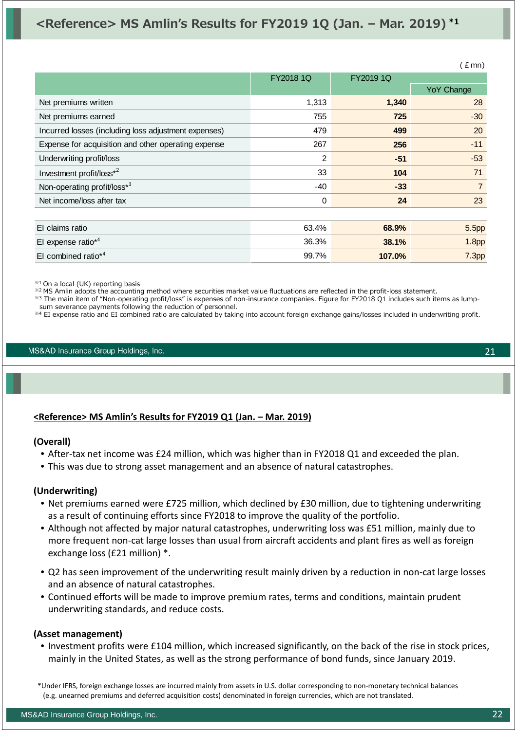# **<Reference> MS Amlin's Results for FY2019 1Q (Jan. – Mar. 2019) \*1**

|                                                      |             |           | E(mn)             |
|------------------------------------------------------|-------------|-----------|-------------------|
|                                                      | FY2018 1Q   | FY2019 1Q |                   |
|                                                      |             |           | <b>YoY Change</b> |
| Net premiums written                                 | 1,313       | 1,340     | 28                |
| Net premiums earned                                  | 755         | 725       | $-30$             |
| Incurred losses (including loss adjustment expenses) | 479         | 499       | 20                |
| Expense for acquisition and other operating expense  | 267         | 256       | $-11$             |
| Underwriting profit/loss                             | 2           | $-51$     | $-53$             |
| Investment profit/loss*2                             | 33          | 104       | 71                |
| Non-operating profit/loss*3                          | -40         | $-33$     | $\overline{7}$    |
| Net income/loss after tax                            | $\mathbf 0$ | 24        | 23                |
|                                                      |             |           |                   |
| El claims ratio                                      | 63.4%       | 68.9%     | 5.5 <sub>pp</sub> |
| El expense ratio*4                                   | 36.3%       | 38.1%     | 1.8 <sub>pp</sub> |
| El combined ratio*4                                  | 99.7%       | 107.0%    | 7.3 <sub>pp</sub> |

※1 On a local (UK) reporting basis

※2 MS Amlin adopts the accounting method where securities market value fluctuations are reflected in the profit-loss statement.

※3 The main item of "Non-operating profit/loss" is expenses of non-insurance companies. Figure for FY2018 Q1 includes such items as lump-

sum severance payments following the reduction of personnel. ※4 EI expense ratio and EI combined ratio are calculated by taking into account foreign exchange gains/losses included in underwriting profit.

MS&AD Insurance Group Holdings, Inc.

## **<Reference> MS Amlin's Results for FY2019 Q1 (Jan. – Mar. 2019)**

### **(Overall)**

- After-tax net income was £24 million, which was higher than in FY2018 Q1 and exceeded the plan.
- This was due to strong asset management and an absence of natural catastrophes.

### **(Underwriting)**

- Net premiums earned were £725 million, which declined by £30 million, due to tightening underwriting as a result of continuing efforts since FY2018 to improve the quality of the portfolio.
- Although not affected by major natural catastrophes, underwriting loss was £51 million, mainly due to more frequent non-cat large losses than usual from aircraft accidents and plant fires as well as foreign exchange loss (£21 million) \*.
- Q2 has seen improvement of the underwriting result mainly driven by a reduction in non‐cat large losses and an absence of natural catastrophes.
- Continued efforts will be made to improve premium rates, terms and conditions, maintain prudent underwriting standards, and reduce costs.

### **(Asset management)**

• Investment profits were £104 million, which increased significantly, on the back of the rise in stock prices, mainly in the United States, as well as the strong performance of bond funds, since January 2019.

\*Under IFRS, foreign exchange losses are incurred mainly from assets in U.S. dollar corresponding to non‐monetary technical balances (e.g. unearned premiums and deferred acquisition costs) denominated in foreign currencies, which are not translated.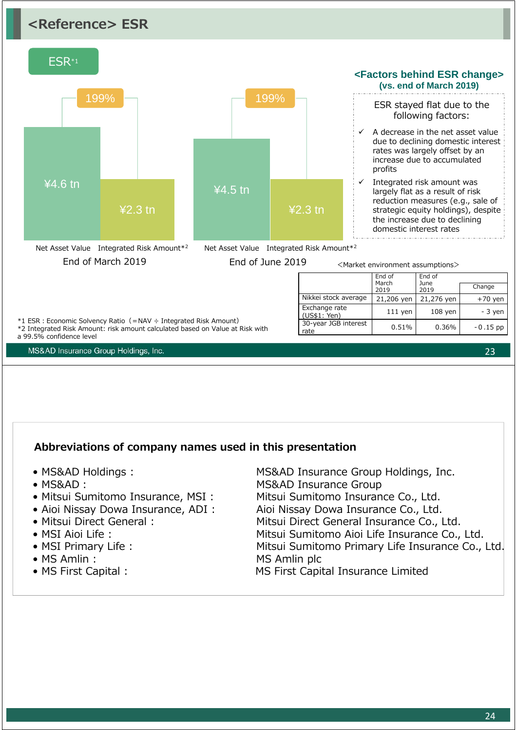# **<Reference> ESR**



## **Abbreviations of company names used in this presentation**

- 
- 
- 
- 
- 
- 
- 
- 
- 

• MS&AD Holdings : MS&AD Insurance Group Holdings, Inc. • MS&AD: MS&AD Insurance Group • Mitsui Sumitomo Insurance, MSI : Mitsui Sumitomo Insurance Co., Ltd. • Aioi Nissay Dowa Insurance, ADI : Aioi Nissay Dowa Insurance Co., Ltd. • Mitsui Direct General : Mitsui Direct General Insurance Co., Ltd. • MSI Aioi Life : Mitsui Sumitomo Aioi Life Insurance Co., Ltd. • MSI Primary Life : Mitsui Sumitomo Primary Life Insurance Co., Ltd. • MS Amlin : MS Amlin plc • MS First Capital : MS First Capital Insurance Limited